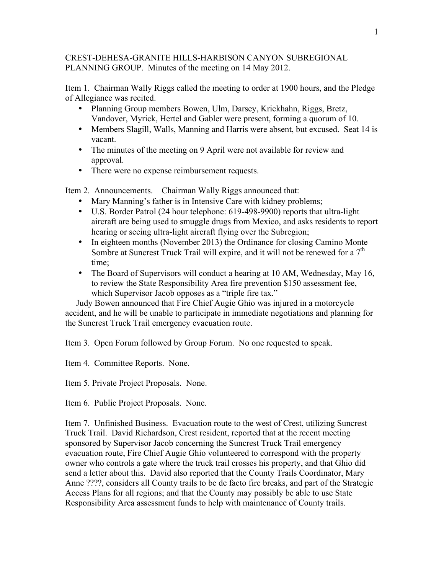## CREST-DEHESA-GRANITE HILLS-HARBISON CANYON SUBREGIONAL PLANNING GROUP. Minutes of the meeting on 14 May 2012.

Item 1. Chairman Wally Riggs called the meeting to order at 1900 hours, and the Pledge of Allegiance was recited.

- Planning Group members Bowen, Ulm, Darsey, Krickhahn, Riggs, Bretz, Vandover, Myrick, Hertel and Gabler were present, forming a quorum of 10.
- Members Slagill, Walls, Manning and Harris were absent, but excused. Seat 14 is vacant.
- The minutes of the meeting on 9 April were not available for review and approval.
- There were no expense reimbursement requests.

Item 2. Announcements. Chairman Wally Riggs announced that:

- Mary Manning's father is in Intensive Care with kidney problems;
- U.S. Border Patrol (24 hour telephone: 619-498-9900) reports that ultra-light aircraft are being used to smuggle drugs from Mexico, and asks residents to report hearing or seeing ultra-light aircraft flying over the Subregion;
- In eighteen months (November 2013) the Ordinance for closing Camino Monte Sombre at Suncrest Truck Trail will expire, and it will not be renewed for a  $7<sup>th</sup>$ time;
- The Board of Supervisors will conduct a hearing at 10 AM, Wednesday, May 16, to review the State Responsibility Area fire prevention \$150 assessment fee, which Supervisor Jacob opposes as a "triple fire tax."

 Judy Bowen announced that Fire Chief Augie Ghio was injured in a motorcycle accident, and he will be unable to participate in immediate negotiations and planning for the Suncrest Truck Trail emergency evacuation route.

Item 3. Open Forum followed by Group Forum. No one requested to speak.

Item 4. Committee Reports. None.

Item 5. Private Project Proposals. None.

Item 6. Public Project Proposals. None.

Item 7. Unfinished Business. Evacuation route to the west of Crest, utilizing Suncrest Truck Trail. David Richardson, Crest resident, reported that at the recent meeting sponsored by Supervisor Jacob concerning the Suncrest Truck Trail emergency evacuation route, Fire Chief Augie Ghio volunteered to correspond with the property owner who controls a gate where the truck trail crosses his property, and that Ghio did send a letter about this. David also reported that the County Trails Coordinator, Mary Anne ????, considers all County trails to be de facto fire breaks, and part of the Strategic Access Plans for all regions; and that the County may possibly be able to use State Responsibility Area assessment funds to help with maintenance of County trails.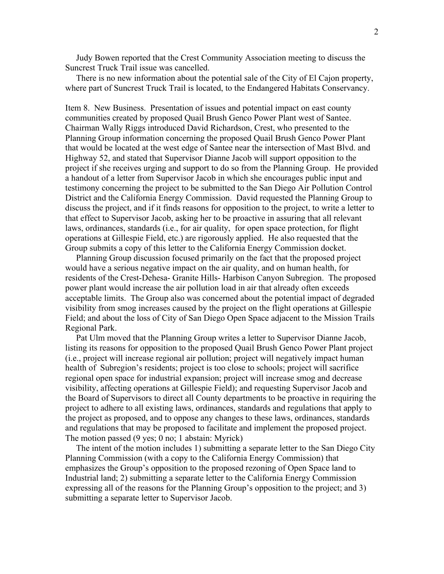Judy Bowen reported that the Crest Community Association meeting to discuss the Suncrest Truck Trail issue was cancelled.

 There is no new information about the potential sale of the City of El Cajon property, where part of Suncrest Truck Trail is located, to the Endangered Habitats Conservancy.

Item 8. New Business. Presentation of issues and potential impact on east county communities created by proposed Quail Brush Genco Power Plant west of Santee. Chairman Wally Riggs introduced David Richardson, Crest, who presented to the Planning Group information concerning the proposed Quail Brush Genco Power Plant that would be located at the west edge of Santee near the intersection of Mast Blvd. and Highway 52, and stated that Supervisor Dianne Jacob will support opposition to the project if she receives urging and support to do so from the Planning Group. He provided a handout of a letter from Supervisor Jacob in which she encourages public input and testimony concerning the project to be submitted to the San Diego Air Pollution Control District and the California Energy Commission. David requested the Planning Group to discuss the project, and if it finds reasons for opposition to the project, to write a letter to that effect to Supervisor Jacob, asking her to be proactive in assuring that all relevant laws, ordinances, standards (i.e., for air quality, for open space protection, for flight operations at Gillespie Field, etc.) are rigorously applied. He also requested that the Group submits a copy of this letter to the California Energy Commission docket.

 Planning Group discussion focused primarily on the fact that the proposed project would have a serious negative impact on the air quality, and on human health, for residents of the Crest-Dehesa- Granite Hills- Harbison Canyon Subregion. The proposed power plant would increase the air pollution load in air that already often exceeds acceptable limits. The Group also was concerned about the potential impact of degraded visibility from smog increases caused by the project on the flight operations at Gillespie Field; and about the loss of City of San Diego Open Space adjacent to the Mission Trails Regional Park.

 Pat Ulm moved that the Planning Group writes a letter to Supervisor Dianne Jacob, listing its reasons for opposition to the proposed Quail Brush Genco Power Plant project (i.e., project will increase regional air pollution; project will negatively impact human health of Subregion's residents; project is too close to schools; project will sacrifice regional open space for industrial expansion; project will increase smog and decrease visibility, affecting operations at Gillespie Field); and requesting Supervisor Jacob and the Board of Supervisors to direct all County departments to be proactive in requiring the project to adhere to all existing laws, ordinances, standards and regulations that apply to the project as proposed, and to oppose any changes to these laws, ordinances, standards and regulations that may be proposed to facilitate and implement the proposed project. The motion passed (9 yes; 0 no; 1 abstain: Myrick)

 The intent of the motion includes 1) submitting a separate letter to the San Diego City Planning Commission (with a copy to the California Energy Commission) that emphasizes the Group's opposition to the proposed rezoning of Open Space land to Industrial land; 2) submitting a separate letter to the California Energy Commission expressing all of the reasons for the Planning Group's opposition to the project; and 3) submitting a separate letter to Supervisor Jacob.